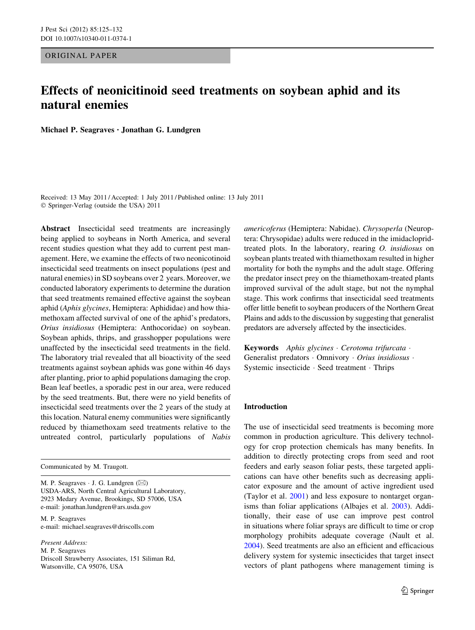ORIGINAL PAPER

# Effects of neonicitinoid seed treatments on soybean aphid and its natural enemies

Michael P. Seagraves • Jonathan G. Lundgren

Received: 13 May 2011 / Accepted: 1 July 2011 / Published online: 13 July 2011 © Springer-Verlag (outside the USA) 2011

Abstract Insecticidal seed treatments are increasingly being applied to soybeans in North America, and several recent studies question what they add to current pest management. Here, we examine the effects of two neonicotinoid insecticidal seed treatments on insect populations (pest and natural enemies) in SD soybeans over 2 years. Moreover, we conducted laboratory experiments to determine the duration that seed treatments remained effective against the soybean aphid (Aphis glycines, Hemiptera: Aphididae) and how thiamethoxam affected survival of one of the aphid's predators, Orius insidiosus (Hemiptera: Anthocoridae) on soybean. Soybean aphids, thrips, and grasshopper populations were unaffected by the insecticidal seed treatments in the field. The laboratory trial revealed that all bioactivity of the seed treatments against soybean aphids was gone within 46 days after planting, prior to aphid populations damaging the crop. Bean leaf beetles, a sporadic pest in our area, were reduced by the seed treatments. But, there were no yield benefits of insecticidal seed treatments over the 2 years of the study at this location. Natural enemy communities were significantly reduced by thiamethoxam seed treatments relative to the untreated control, particularly populations of Nabis

Communicated by M. Traugott.

M. P. Seagraves  $\cdot$  J. G. Lundgren ( $\boxtimes$ ) USDA-ARS, North Central Agricultural Laboratory, 2923 Medary Avenue, Brookings, SD 57006, USA e-mail: jonathan.lundgren@ars.usda.gov

M. P. Seagraves e-mail: michael.seagraves@driscolls.com

Present Address: M. P. Seagraves Driscoll Strawberry Associates, 151 Siliman Rd, Watsonville, CA 95076, USA

americoferus (Hemiptera: Nabidae). Chrysoperla (Neuroptera: Chrysopidae) adults were reduced in the imidaclopridtreated plots. In the laboratory, rearing O. insidiosus on soybean plants treated with thiamethoxam resulted in higher mortality for both the nymphs and the adult stage. Offering the predator insect prey on the thiamethoxam-treated plants improved survival of the adult stage, but not the nymphal stage. This work confirms that insecticidal seed treatments offer little benefit to soybean producers of the Northern Great Plains and adds to the discussion by suggesting that generalist predators are adversely affected by the insecticides.

Keywords Aphis glycines · Cerotoma trifurcata · Generalist predators · Omnivory · Orius insidiosus · Systemic insecticide - Seed treatment - Thrips

## Introduction

The use of insecticidal seed treatments is becoming more common in production agriculture. This delivery technology for crop protection chemicals has many benefits. In addition to directly protecting crops from seed and root feeders and early season foliar pests, these targeted applications can have other benefits such as decreasing applicator exposure and the amount of active ingredient used (Taylor et al. [2001](#page-7-0)) and less exposure to nontarget organisms than foliar applications (Albajes et al. [2003](#page-7-0)). Additionally, their ease of use can improve pest control in situations where foliar sprays are difficult to time or crop morphology prohibits adequate coverage (Nault et al. [2004](#page-7-0)). Seed treatments are also an efficient and efficacious delivery system for systemic insecticides that target insect vectors of plant pathogens where management timing is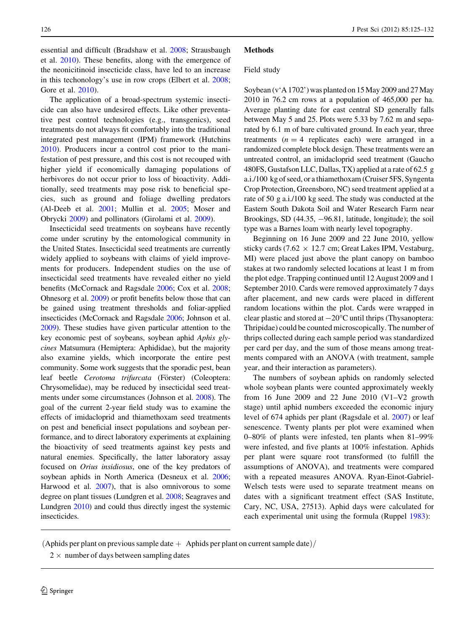essential and difficult (Bradshaw et al. [2008](#page-7-0); Strausbaugh et al. [2010\)](#page-7-0). These benefits, along with the emergence of the neonicitinoid insecticide class, have led to an increase in this techonology's use in row crops (Elbert et al. [2008](#page-7-0); Gore et al. [2010\)](#page-7-0).

The application of a broad-spectrum systemic insecticide can also have undesired effects. Like other preventative pest control technologies (e.g., transgenics), seed treatments do not always fit comfortably into the traditional integrated pest management (IPM) framework (Hutchins [2010\)](#page-7-0). Producers incur a control cost prior to the manifestation of pest pressure, and this cost is not recouped with higher yield if economically damaging populations of herbivores do not occur prior to loss of bioactivity. Additionally, seed treatments may pose risk to beneficial species, such as ground and foliage dwelling predators (Al-Deeb et al. [2001;](#page-7-0) Mullin et al. [2005](#page-7-0); Moser and Obrycki [2009](#page-7-0)) and pollinators (Girolami et al. [2009](#page-7-0)).

Insecticidal seed treatments on soybeans have recently come under scrutiny by the entomological community in the United States. Insecticidal seed treatments are currently widely applied to soybeans with claims of yield improvements for producers. Independent studies on the use of insecticidal seed treatments have revealed either no yield benefits (McCornack and Ragsdale [2006;](#page-7-0) Cox et al. [2008](#page-7-0); Ohnesorg et al. [2009\)](#page-7-0) or profit benefits below those that can be gained using treatment thresholds and foliar-applied insecticides (McCornack and Ragsdale [2006](#page-7-0); Johnson et al. [2009\)](#page-7-0). These studies have given particular attention to the key economic pest of soybeans, soybean aphid Aphis glycines Matsumura (Hemiptera: Aphididae), but the majority also examine yields, which incorporate the entire pest community. Some work suggests that the sporadic pest, bean leaf beetle Cerotoma trifurcata (Förster) (Coleoptera: Chrysomelidae), may be reduced by insecticidal seed treatments under some circumstances (Johnson et al. [2008](#page-7-0)). The goal of the current 2-year field study was to examine the effects of imidacloprid and thiamethoxam seed treatments on pest and beneficial insect populations and soybean performance, and to direct laboratory experiments at explaining the bioactivity of seed treatments against key pests and natural enemies. Specifically, the latter laboratory assay focused on Orius insidiosus, one of the key predators of soybean aphids in North America (Desneux et al. [2006](#page-7-0); Harwood et al. [2007\)](#page-7-0), that is also omnivorous to some degree on plant tissues (Lundgren et al. [2008;](#page-7-0) Seagraves and Lundgren [2010\)](#page-7-0) and could thus directly ingest the systemic insecticides.

# **Methods**

## Field study

Soybean (v'A 1702') was planted on 15 May 2009 and 27 May 2010 in 76.2 cm rows at a population of 465,000 per ha. Average planting date for east central SD generally falls between May 5 and 25. Plots were 5.33 by 7.62 m and separated by 6.1 m of bare cultivated ground. In each year, three treatments  $(n = 4$  replicates each) were arranged in a randomized complete block design. These treatments were an untreated control, an imidacloprid seed treatment (Gaucho 480FS, Gustafson LLC, Dallas, TX) applied at a rate of 62.5 g a.i./100 kg of seed, or a thiamethoxam (Cruiser 5FS, Syngenta Crop Protection, Greensboro, NC) seed treatment applied at a rate of 50 g a.i./100 kg seed. The study was conducted at the Eastern South Dakota Soil and Water Research Farm near Brookings, SD (44.35, -96.81, latitude, longitude); the soil type was a Barnes loam with nearly level topography.

Beginning on 16 June 2009 and 22 June 2010, yellow sticky cards (7.62  $\times$  12.7 cm; Great Lakes IPM, Vestaburg, MI) were placed just above the plant canopy on bamboo stakes at two randomly selected locations at least 1 m from the plot edge. Trapping continued until 12 August 2009 and 1 September 2010. Cards were removed approximately 7 days after placement, and new cards were placed in different random locations within the plot. Cards were wrapped in clear plastic and stored at  $-20^{\circ}$ C until thrips (Thysanoptera: Thripidae) could be counted microscopically. The number of thrips collected during each sample period was standardized per card per day, and the sum of those means among treatments compared with an ANOVA (with treatment, sample year, and their interaction as parameters).

The numbers of soybean aphids on randomly selected whole soybean plants were counted approximately weekly from 16 June 2009 and 22 June 2010 (V1–V2 growth stage) until aphid numbers exceeded the economic injury level of 674 aphids per plant (Ragsdale et al. [2007\)](#page-7-0) or leaf senescence. Twenty plants per plot were examined when 0–80% of plants were infested, ten plants when 81–99% were infested, and five plants at 100% infestation. Aphids per plant were square root transformed (to fulfill the assumptions of ANOVA), and treatments were compared with a repeated measures ANOVA. Ryan-Einot-Gabriel-Welsch tests were used to separate treatment means on dates with a significant treatment effect (SAS Institute, Cary, NC, USA, 27513). Aphid days were calculated for each experimental unit using the formula (Ruppel [1983\)](#page-7-0):

<sup>(</sup>Aphids per plant on previous sample date  $+$  Aphids per plant on current sample date)/

 $2 \times$  number of days between sampling dates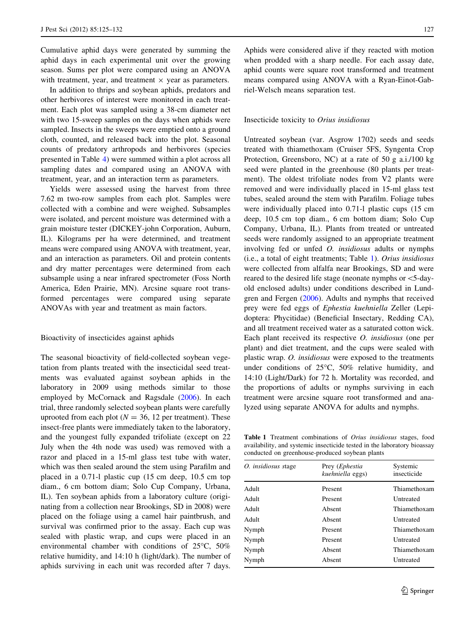Cumulative aphid days were generated by summing the aphid days in each experimental unit over the growing season. Sums per plot were compared using an ANOVA with treatment, year, and treatment  $\times$  year as parameters.

In addition to thrips and soybean aphids, predators and other herbivores of interest were monitored in each treatment. Each plot was sampled using a 38-cm diameter net with two 15-sweep samples on the days when aphids were sampled. Insects in the sweeps were emptied onto a ground cloth, counted, and released back into the plot. Seasonal counts of predatory arthropods and herbivores (species presented in Table [4\)](#page-4-0) were summed within a plot across all sampling dates and compared using an ANOVA with treatment, year, and an interaction term as parameters.

Yields were assessed using the harvest from three 7.62 m two-row samples from each plot. Samples were collected with a combine and were weighed. Subsamples were isolated, and percent moisture was determined with a grain moisture tester (DICKEY-john Corporation, Auburn, IL). Kilograms per ha were determined, and treatment means were compared using ANOVA with treatment, year, and an interaction as parameters. Oil and protein contents and dry matter percentages were determined from each subsample using a near infrared spectrometer (Foss North America, Eden Prairie, MN). Arcsine square root transformed percentages were compared using separate ANOVAs with year and treatment as main factors.

## Bioactivity of insecticides against aphids

The seasonal bioactivity of field-collected soybean vegetation from plants treated with the insecticidal seed treatments was evaluated against soybean aphids in the laboratory in 2009 using methods similar to those employed by McCornack and Ragsdale ([2006\)](#page-7-0). In each trial, three randomly selected soybean plants were carefully uprooted from each plot ( $N = 36$ , 12 per treatment). These insect-free plants were immediately taken to the laboratory, and the youngest fully expanded trifoliate (except on 22 July when the 4th node was used) was removed with a razor and placed in a 15-ml glass test tube with water, which was then sealed around the stem using Parafilm and placed in a 0.71-l plastic cup (15 cm deep, 10.5 cm top diam., 6 cm bottom diam; Solo Cup Company, Urbana, IL). Ten soybean aphids from a laboratory culture (originating from a collection near Brookings, SD in 2008) were placed on the foliage using a camel hair paintbrush, and survival was confirmed prior to the assay. Each cup was sealed with plastic wrap, and cups were placed in an environmental chamber with conditions of  $25^{\circ}$ C,  $50\%$ relative humidity, and 14:10 h (light/dark). The number of aphids surviving in each unit was recorded after 7 days.

Aphids were considered alive if they reacted with motion when prodded with a sharp needle. For each assay date, aphid counts were square root transformed and treatment means compared using ANOVA with a Ryan-Einot-Gabriel-Welsch means separation test.

#### Insecticide toxicity to Orius insidiosus

Untreated soybean (var. Asgrow 1702) seeds and seeds treated with thiamethoxam (Cruiser 5FS, Syngenta Crop Protection, Greensboro, NC) at a rate of 50 g a.i./100 kg seed were planted in the greenhouse (80 plants per treatment). The oldest trifoliate nodes from V2 plants were removed and were individually placed in 15-ml glass test tubes, sealed around the stem with Parafilm. Foliage tubes were individually placed into 0.71-l plastic cups (15 cm deep, 10.5 cm top diam., 6 cm bottom diam; Solo Cup Company, Urbana, IL). Plants from treated or untreated seeds were randomly assigned to an appropriate treatment involving fed or unfed O. insidiosus adults or nymphs (i.e., a total of eight treatments; Table 1). Orius insidiosus were collected from alfalfa near Brookings, SD and were reared to the desired life stage (neonate nymphs or\5-dayold enclosed adults) under conditions described in Lundgren and Fergen ([2006\)](#page-7-0). Adults and nymphs that received prey were fed eggs of Ephestia kuehniella Zeller (Lepidoptera: Phycitidae) (Beneficial Insectary, Redding CA), and all treatment received water as a saturated cotton wick. Each plant received its respective O. insidiosus (one per plant) and diet treatment, and the cups were sealed with plastic wrap. O. insidiosus were exposed to the treatments under conditions of  $25^{\circ}$ C,  $50\%$  relative humidity, and 14:10 (Light/Dark) for 72 h. Mortality was recorded, and the proportions of adults or nymphs surviving in each treatment were arcsine square root transformed and analyzed using separate ANOVA for adults and nymphs.

Table 1 Treatment combinations of *Orius insidiosus* stages, food availability, and systemic insecticide tested in the laboratory bioassay conducted on greenhouse-produced soybean plants

| O. insidiosus stage | Prey ( <i>Ephestia</i> | Systemic         |
|---------------------|------------------------|------------------|
|                     | kuehniella eggs)       | insecticide      |
| Adult               | Present                | Thiamethoxam     |
| Adult               | Present                | <b>Untreated</b> |
| Adult               | Absent                 | Thiamethoxam     |
| Adult               | Absent                 | Untreated        |
| Nymph               | Present                | Thiamethoxam     |
| Nymph               | Present                | <b>Untreated</b> |
| Nymph               | Absent                 | Thiamethoxam     |
| Nymph               | Absent                 | Untreated        |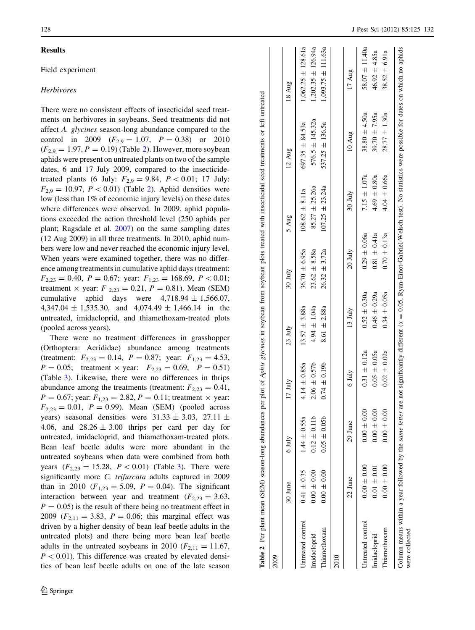## <span id="page-3-0"></span>Results

## Field experiment

# Herbivores

There were no consistent effects of insecticidal seed treatments on herbivores in soybeans. Seed treatments did not affect A. glycines season-long abundance compared to the control in 2009  $(F_{2,9} = 1.07, P = 0.38)$  or 2010  $(F_{2,9} = 1.97, P = 0.19)$  (Table 2). However, more soybean aphids were present on untreated plants on two of the sample dates, 6 and 17 July 2009, compared to the insecticidetreated plants (6 July:  $F_{2,9} = 9.84, P < 0.01; 17$  July:  $F_{2,9} = 10.97$ ,  $P < 0.01$ ) (Table 2). Aphid densities were low (less than 1% of economic injury levels) on these dates where differences were observed. In 2009, aphid populations exceeded the action threshold level (250 aphids per plant; Ragsdale et al. [2007](#page-7-0)) on the same sampling dates (12 Aug 2009) in all three treatments. In 2010, aphid numbers were low and never reached the economic injury level. When years were examined together, there was no difference among treatments in cumulative aphid days (treatment:  $F_{2,23} = 0.40$ ,  $P = 0.67$ ; year:  $F_{1,23} = 168.69$ ,  $P < 0.01$ ; treatment  $\times$  year:  $F_{2,23} = 0.21, P = 0.81$ ). Mean (SEM) cumulative aphid days were  $4,718.94 \pm 1,566.07$ ,  $4,347.04 \pm 1,535.30$ , and  $4,074.49 \pm 1,466.14$  in the untreated, imidacloprid, and thiamethoxam-treated plots (pooled across years).

There were no treatment differences in grasshopper (Orthoptera: Acrididae) abundance among treatments (treatment:  $F_{2,23} = 0.14$ ,  $P = 0.87$ ; year:  $F_{1,23} = 4.53$ ,  $P = 0.05$ ; treatment  $\times$  year:  $F_{2,23} = 0.69$ ,  $P = 0.51$ ) (Table [3](#page-4-0)). Likewise, there were no differences in thrips abundance among the treatments (treatment:  $F_{2,23} = 0.41$ ,  $P = 0.67$ ; year:  $F_{1,23} = 2.82, P = 0.11$ ; treatment  $\times$  year:  $F_{2,23} = 0.01$ ,  $P = 0.99$ ). Mean (SEM) (pooled across years) seasonal densities were  $31.33 \pm 3.03$ ,  $27.11 \pm 1.5$ 4.06, and  $28.26 \pm 3.00$  thrips per card per day for untreated, imidacloprid, and thiamethoxam-treated plots. Bean leaf beetle adults were more abundant in the untreated soybeans when data were combined from both years  $(F_{2,23} = 15.28, P < 0.01)$  $(F_{2,23} = 15.28, P < 0.01)$  $(F_{2,23} = 15.28, P < 0.01)$  (Table 3). There were significantly more C. trifurcata adults captured in 2009 than in 2010 ( $F_{1,23} = 5.09$ ,  $P = 0.04$ ). The significant interaction between year and treatment  $(F_{2,23} = 3.63,$  $P = 0.05$ ) is the result of there being no treatment effect in 2009 ( $F_{2,11} = 3.83$ ,  $P = 0.06$ ; this marginal effect was driven by a higher density of bean leaf beetle adults in the untreated plots) and there being more bean leaf beetle adults in the untreated soybeans in 2010 ( $F_{2,11} = 11.67$ ,  $P < 0.01$ ). This difference was created by elevated densities of bean leaf beetle adults on one of the late season

|                                                                              | 30 June         | $6 \mathrm{J}$ uly | $17 \text{ July}$ | $23 \text{ July}$  | 30 July           | 5 Aug               | $12 \text{ Aug}$                                                                                                                         | 18 Aug                 |
|------------------------------------------------------------------------------|-----------------|--------------------|-------------------|--------------------|-------------------|---------------------|------------------------------------------------------------------------------------------------------------------------------------------|------------------------|
| Untreated control                                                            | $0.41 \pm 0.35$ | $1.44 \pm 0.55a$   | $4.14 \pm 0.85a$  | $13.57 \pm 3.88a$  | $36.70 \pm 6.95a$ | $108.62 \pm 8.11a$  | $697.35 \pm 84.53a$                                                                                                                      | $1,062.25 \pm 128.61a$ |
| Imidacloprid                                                                 | $0.00 \pm 0.00$ | $0.12 \pm 0.11b$   | $2.06 \pm 0.57$ b | $4.94 \pm 1.04a$   | $23.62 \pm 8.58a$ | $85.27 \pm 25.26a$  | $576.5 \pm 145.32a$                                                                                                                      | $1,202.35 \pm 126.94a$ |
| Thiamethoxam                                                                 | $0.00 \pm 0.00$ | $0.05 \pm 0.05$    | $0.74 \pm 0.19b$  | $8.61 \pm 2.88a$   | $26.32 \pm 3.72a$ | $107.25 \pm 23.24a$ | $537.25 \pm 136.5a$                                                                                                                      | $1,093.75 \pm 111.63a$ |
|                                                                              |                 |                    |                   |                    |                   |                     |                                                                                                                                          |                        |
|                                                                              | 22 June         | 29 June            | 6 July            | $13 \mathrm{July}$ | $20 \text{ July}$ | 30 July             | 10 Aug                                                                                                                                   | 17 Aug                 |
| Untreated control                                                            | $0.00 \pm 0.00$ | $0.00 \pm 0.00$    | $0.31 \pm 0.12a$  | $0.52 \pm 0.30a$   | $0.29 \pm 0.06a$  | $7.15 \pm 1.07a$    | $38.80 \pm 4.50a$                                                                                                                        | 58.07 $\pm$ 11.40a     |
| Imidacloprid                                                                 | $0.01 \pm 0.01$ | $0.00 \pm 0.00$    | $0.05 \pm 0.05a$  | $0.46 \pm 0.29a$   | $0.81 \pm 0.41a$  | $4.69 \pm 0.80a$    | $39.70 \pm 7.95a$                                                                                                                        | $46.92 \pm 4.85a$      |
| Thiamethoxam                                                                 | $0.00 \pm 0.00$ | $0.00 \pm 0.00$    | $0.02 \pm 0.02a$  | $0.34 \pm 0.05a$   | $0.70 \pm 0.13a$  | $4.04 \pm 0.66a$    | $28.77 \pm 1.30a$                                                                                                                        | $38.52 \pm 6.91a$      |
| Column means within a year followed by the same letter are<br>were collected |                 |                    |                   |                    |                   |                     | not significantly different $(\alpha = 0.05, Ryan-Einot-Gabriel-Welsch test)$ . No statistics were possible for dates on which no aphids |                        |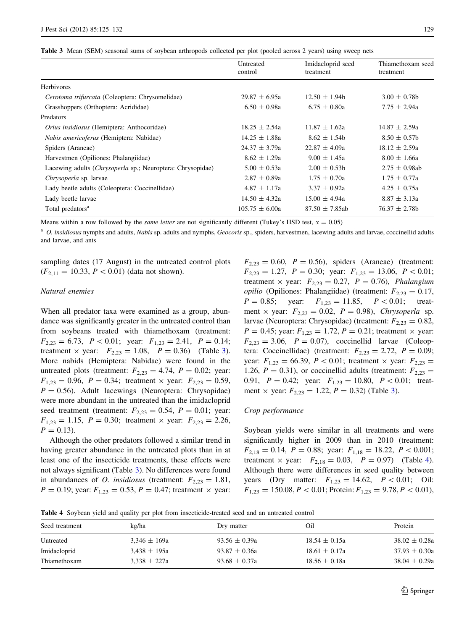<span id="page-4-0"></span>

|  |  | Table 3 Mean (SEM) seasonal sums of soybean arthropods collected per plot (pooled across 2 years) using sweep nets |  |  |  |  |  |  |  |  |  |  |
|--|--|--------------------------------------------------------------------------------------------------------------------|--|--|--|--|--|--|--|--|--|--|
|--|--|--------------------------------------------------------------------------------------------------------------------|--|--|--|--|--|--|--|--|--|--|

|                                                                     | Untreated<br>control | Imidacloprid seed<br>treatment | Thiamethoxam seed<br>treatment |
|---------------------------------------------------------------------|----------------------|--------------------------------|--------------------------------|
| Herbivores                                                          |                      |                                |                                |
| Cerotoma trifurcata (Coleoptera: Chrysomelidae)                     | $29.87 \pm 6.95a$    | $12.50 \pm 1.94b$              | $3.00 \pm 0.78$                |
| Grasshoppers (Orthoptera: Acrididae)                                | $6.50 \pm 0.98a$     | $6.75 \pm 0.80a$               | $7.75 \pm 2.94a$               |
| Predators                                                           |                      |                                |                                |
| Orius insidiosus (Hemiptera: Anthocoridae)                          | $18.25 \pm 2.54a$    | $11.87 \pm 1.62a$              | $14.87 \pm 2.59a$              |
| Nabis americoferus (Hemiptera: Nabidae)                             | $14.25 \pm 1.88a$    | $8.62 \pm 1.54b$               | $8.50 \pm 0.57$                |
| Spiders (Araneae)                                                   | $24.37 \pm 3.79a$    | $22.87 \pm 4.09a$              | $18.12 \pm 2.59a$              |
| Harvestmen (Opiliones: Phalangiidae)                                | $8.62 \pm 1.29a$     | $9.00 \pm 1.45a$               | $8.00 \pm 1.66a$               |
| Lacewing adults ( <i>Chrysoperla sp.</i> ; Neuroptera: Chrysopidae) | $5.00 \pm 0.53a$     | $2.00 \pm 0.53b$               | $2.75 \pm 0.98$ ab             |
| Chrysoperla sp. larvae                                              | $2.87 \pm 0.89a$     | $1.75 \pm 0.70a$               | $1.75 \pm 0.77a$               |
| Lady beetle adults (Coleoptera: Coccinellidae)                      | $4.87 \pm 1.17a$     | $3.37 \pm 0.92a$               | $4.25 \pm 0.75a$               |
| Lady beetle larvae                                                  | $14.50 \pm 4.32a$    | $15.00 \pm 4.94a$              | $8.87 \pm 3.13a$               |
| Total predators <sup>a</sup>                                        | $105.75 \pm 6.00a$   | $87.50 \pm 7.85$ ab            | $76.37 \pm 2.78b$              |

Means within a row followed by the *same letter* are not significantly different (Tukey's HSD test,  $\alpha = 0.05$ )

<sup>a</sup> O. insidiosus nymphs and adults, Nabis sp. adults and nymphs, Geocoris sp., spiders, harvestmen, lacewing adults and larvae, coccinellid adults and larvae, and ants

sampling dates (17 August) in the untreated control plots  $(F_{2,11} = 10.33, P < 0.01)$  (data not shown).

## Natural enemies

When all predator taxa were examined as a group, abundance was significantly greater in the untreated control than from soybeans treated with thiamethoxam (treatment:  $F_{2,23} = 6.73$ ,  $P < 0.01$ ; year:  $F_{1,23} = 2.41$ ,  $P = 0.14$ ; treatment  $\times$  year:  $F_{2,23} = 1.08$ ,  $P = 0.36$ ) (Table 3). More nabids (Hemiptera: Nabidae) were found in the untreated plots (treatment:  $F_{2,23} = 4.74$ ,  $P = 0.02$ ; year:  $F_{1,23} = 0.96$ ,  $P = 0.34$ ; treatment  $\times$  year:  $F_{2,23} = 0.59$ ,  $P = 0.56$ ). Adult lacewings (Neuroptera: Chrysopidae) were more abundant in the untreated than the imidacloprid seed treatment (treatment:  $F_{2,23} = 0.54$ ,  $P = 0.01$ ; year:  $F_{1,23} = 1.15$ ,  $P = 0.30$ ; treatment  $\times$  year:  $F_{2,23} = 2.26$ ,  $P = 0.13$ ).

Although the other predators followed a similar trend in having greater abundance in the untreated plots than in at least one of the insecticide treatments, these effects were not always significant (Table 3). No differences were found in abundances of *O. insidiosus* (treatment:  $F_{2,23} = 1.81$ ,  $P = 0.19$ ; year:  $F_{1,23} = 0.53$ ,  $P = 0.47$ ; treatment  $\times$  year:

 $F_{2,23} = 0.60, P = 0.56$ , spiders (Araneae) (treatment:  $F_{2,23} = 1.27$ ,  $P = 0.30$ ; year:  $F_{1,23} = 13.06$ ,  $P < 0.01$ ; treatment  $\times$  year:  $F_{2,23} = 0.27$ ,  $P = 0.76$ ), Phalangium *opilio* (Opiliones: Phalangiidae) (treatment:  $F_{2,23} = 0.17$ ,  $P = 0.85$ ; year:  $F_{1,23} = 11.85$ ,  $P < 0.01$ ; treatment  $\times$  year:  $F_{2,23} = 0.02$ ,  $P = 0.98$ ), Chrysoperla sp. larvae (Neuroptera: Chrysopidae) (treatment:  $F_{2,23} = 0.82$ ,  $P = 0.45$ ; year:  $F_{1,23} = 1.72, P = 0.21$ ; treatment  $\times$  year:  $F_{2,23} = 3.06$ ,  $P = 0.07$ ), coccinellid larvae (Coleoptera: Coccinellidae) (treatment:  $F_{2,23} = 2.72$ ,  $P = 0.09$ ; year:  $F_{1,23} = 66.39$ ,  $P \lt 0.01$ ; treatment  $\times$  year:  $F_{2,23} =$ 1.26,  $P = 0.31$ ), or coccinellid adults (treatment:  $F_{2,23} =$ 0.91,  $P = 0.42$ ; year:  $F_{1,23} = 10.80$ ,  $P < 0.01$ ; treatment  $\times$  year:  $F_{2,23} = 1.22, P = 0.32$ ) (Table 3).

## Crop performance

Soybean yields were similar in all treatments and were significantly higher in 2009 than in 2010 (treatment:  $F_{2,18} = 0.14$ ,  $P = 0.88$ ; year:  $F_{1,18} = 18.22$ ,  $P < 0.001$ ; treatment  $\times$  year:  $F_{2,18} = 0.03$ ,  $P = 0.97$ ) (Table 4). Although there were differences in seed quality between years (Dry matter:  $F_{1,23} = 14.62$ ,  $P < 0.01$ ; Oil:  $F_{1,23} = 150.08, P < 0.01;$  Protein:  $F_{1,23} = 9.78, P < 0.01$ ),

Table 4 Soybean yield and quality per plot from insecticide-treated seed and an untreated control

| kg/ha            | Dry matter        | Oil               | Protein           |
|------------------|-------------------|-------------------|-------------------|
| $3.346 \pm 169a$ | 93.56 $\pm$ 0.39a | $18.54 \pm 0.15a$ | $38.02 \pm 0.28a$ |
| $3,438 \pm 195a$ | $93.87 \pm 0.36a$ | $18.61 \pm 0.17a$ | $37.93 \pm 0.30a$ |
| $3.338 \pm 227a$ | $93.68 \pm 0.37a$ | $18.56 \pm 0.18a$ | $38.04 \pm 0.29a$ |
|                  |                   |                   |                   |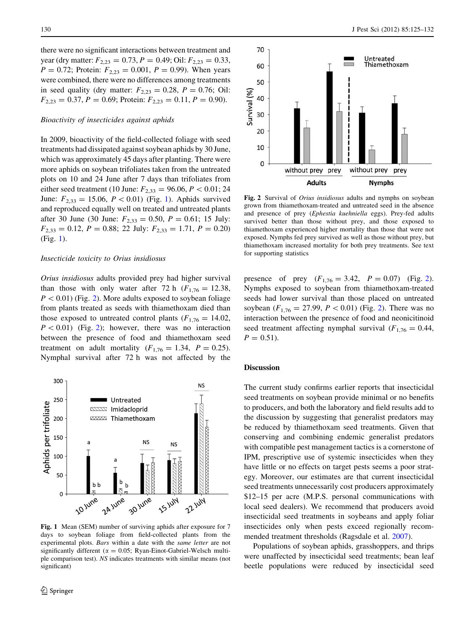<span id="page-5-0"></span>there were no significant interactions between treatment and year (dry matter:  $F_{2,23} = 0.73$ ,  $P = 0.49$ ; Oil:  $F_{2,23} = 0.33$ ,  $P = 0.72$ ; Protein:  $F_{2,23} = 0.001$ ,  $P = 0.99$ ). When years were combined, there were no differences among treatments in seed quality (dry matter:  $F_{2,23} = 0.28$ ,  $P = 0.76$ ; Oil:  $F_{2,23} = 0.37, P = 0.69;$  Protein:  $F_{2,23} = 0.11, P = 0.90$ .

### Bioactivity of insecticides against aphids

In 2009, bioactivity of the field-collected foliage with seed treatments had dissipated against soybean aphids by 30 June, which was approximately 45 days after planting. There were more aphids on soybean trifoliates taken from the untreated plots on 10 and 24 June after 7 days than trifoliates from either seed treatment (10 June:  $F_{2,33} = 96.06, P < 0.01; 24$ June:  $F_{2,33} = 15.06, P < 0.01)$  (Fig. 1). Aphids survived and reproduced equally well on treated and untreated plants after 30 June (30 June:  $F_{2,33} = 0.50$ ,  $P = 0.61$ ; 15 July:  $F_{2,33} = 0.12, P = 0.88; 22 \text{ July: } F_{2,33} = 1.71, P = 0.20$ (Fig. 1).

## Insecticide toxicity to Orius insidiosus

Orius insidiosus adults provided prey had higher survival than those with only water after 72 h  $(F_{1,76} = 12.38,$  $P < 0.01$ ) (Fig. 2). More adults exposed to soybean foliage from plants treated as seeds with thiamethoxam died than those exposed to untreated control plants ( $F_{1,76} = 14.02$ ,  $P < 0.01$ ) (Fig. 2); however, there was no interaction between the presence of food and thiamethoxam seed treatment on adult mortality  $(F_{1,76} = 1.34, P = 0.25)$ . Nymphal survival after 72 h was not affected by the



Fig. 1 Mean (SEM) number of surviving aphids after exposure for 7 days to soybean foliage from field-collected plants from the experimental plots. Bars within a date with the same letter are not significantly different ( $\alpha = 0.05$ ; Ryan-Einot-Gabriel-Welsch multiple comparison test). NS indicates treatments with similar means (not significant)



Fig. 2 Survival of *Orius insidiosus* adults and nymphs on soybean grown from thiamethoxam-treated and untreated seed in the absence and presence of prey (Ephestia kuehniella eggs). Prey-fed adults survived better than those without prey, and those exposed to thiamethoxam experienced higher mortality than those that were not exposed. Nymphs fed prey survived as well as those without prey, but thiamethoxam increased mortality for both prey treatments. See text for supporting statistics

presence of prey  $(F_{1,76} = 3.42, P = 0.07)$  (Fig. 2). Nymphs exposed to soybean from thiamethoxam-treated seeds had lower survival than those placed on untreated soybean  $(F_{1,76} = 27.99, P < 0.01)$  (Fig. 2). There was no interaction between the presence of food and neonicitinoid seed treatment affecting nymphal survival ( $F_{1,76} = 0.44$ ,  $P = 0.51$ .

#### **Discussion**

The current study confirms earlier reports that insecticidal seed treatments on soybean provide minimal or no benefits to producers, and both the laboratory and field results add to the discussion by suggesting that generalist predators may be reduced by thiamethoxam seed treatments. Given that conserving and combining endemic generalist predators with compatible pest management tactics is a cornerstone of IPM, prescriptive use of systemic insecticides when they have little or no effects on target pests seems a poor strategy. Moreover, our estimates are that current insecticidal seed treatments unnecessarily cost producers approximately \$12–15 per acre (M.P.S. personal communications with local seed dealers). We recommend that producers avoid insecticidal seed treatments in soybeans and apply foliar insecticides only when pests exceed regionally recommended treatment thresholds (Ragsdale et al. [2007\)](#page-7-0).

Populations of soybean aphids, grasshoppers, and thrips were unaffected by insecticidal seed treatments; bean leaf beetle populations were reduced by insecticidal seed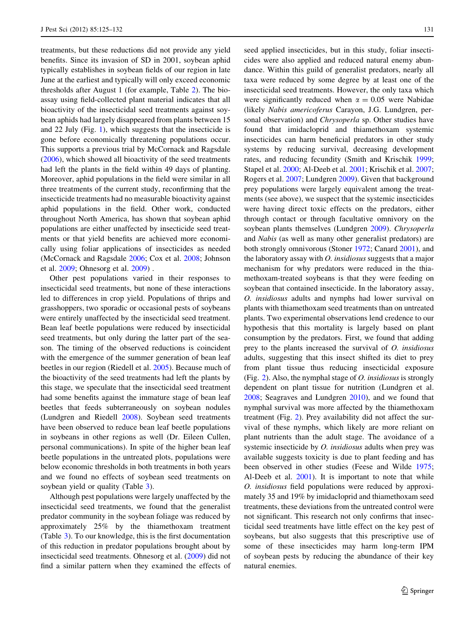treatments, but these reductions did not provide any yield benefits. Since its invasion of SD in 2001, soybean aphid typically establishes in soybean fields of our region in late June at the earliest and typically will only exceed economic thresholds after August 1 (for example, Table [2](#page-3-0)). The bioassay using field-collected plant material indicates that all bioactivity of the insecticidal seed treatments against soybean aphids had largely disappeared from plants between 15 and 22 July (Fig. [1](#page-5-0)), which suggests that the insecticide is gone before economically threatening populations occur. This supports a previous trial by McCornack and Ragsdale [\(2006](#page-7-0)), which showed all bioactivity of the seed treatments had left the plants in the field within 49 days of planting. Moreover, aphid populations in the field were similar in all three treatments of the current study, reconfirming that the insecticide treatments had no measurable bioactivity against aphid populations in the field. Other work, conducted throughout North America, has shown that soybean aphid populations are either unaffected by insecticide seed treatments or that yield benefits are achieved more economically using foliar applications of insecticides as needed (McCornack and Ragsdale [2006;](#page-7-0) Cox et al. [2008;](#page-7-0) Johnson et al. [2009;](#page-7-0) Ohnesorg et al. [2009\)](#page-7-0) .

Other pest populations varied in their responses to insecticidal seed treatments, but none of these interactions led to differences in crop yield. Populations of thrips and grasshoppers, two sporadic or occasional pests of soybeans were entirely unaffected by the insecticidal seed treatment. Bean leaf beetle populations were reduced by insecticidal seed treatments, but only during the latter part of the season. The timing of the observed reductions is coincident with the emergence of the summer generation of bean leaf beetles in our region (Riedell et al. [2005](#page-7-0)). Because much of the bioactivity of the seed treatments had left the plants by this stage, we speculate that the insecticidal seed treatment had some benefits against the immature stage of bean leaf beetles that feeds subterraneously on soybean nodules (Lundgren and Riedell [2008\)](#page-7-0). Soybean seed treatments have been observed to reduce bean leaf beetle populations in soybeans in other regions as well (Dr. Eileen Cullen, personal communications). In spite of the higher bean leaf beetle populations in the untreated plots, populations were below economic thresholds in both treatments in both years and we found no effects of soybean seed treatments on soybean yield or quality (Table [3\)](#page-4-0).

Although pest populations were largely unaffected by the insecticidal seed treatments, we found that the generalist predator community in the soybean foliage was reduced by approximately 25% by the thiamethoxam treatment (Table [3](#page-4-0)). To our knowledge, this is the first documentation of this reduction in predator populations brought about by insecticidal seed treatments. Ohnesorg et al. ([2009\)](#page-7-0) did not find a similar pattern when they examined the effects of seed applied insecticides, but in this study, foliar insecticides were also applied and reduced natural enemy abundance. Within this guild of generalist predators, nearly all taxa were reduced by some degree by at least one of the insecticidal seed treatments. However, the only taxa which were significantly reduced when  $\alpha = 0.05$  were Nabidae (likely Nabis americoferus Carayon, J.G. Lundgren, personal observation) and *Chrysoperla* sp. Other studies have found that imidacloprid and thiamethoxam systemic insecticides can harm beneficial predators in other study systems by reducing survival, decreasing development rates, and reducing fecundity (Smith and Krischik [1999](#page-7-0); Stapel et al. [2000;](#page-7-0) Al-Deeb et al. [2001](#page-7-0); Krischik et al. [2007](#page-7-0); Rogers et al. [2007](#page-7-0); Lundgren [2009\)](#page-7-0). Given that background prey populations were largely equivalent among the treatments (see above), we suspect that the systemic insecticides were having direct toxic effects on the predators, either through contact or through facultative omnivory on the soybean plants themselves (Lundgren [2009\)](#page-7-0). Chrysoperla and Nabis (as well as many other generalist predators) are both strongly omnivorous (Stoner [1972](#page-7-0); Canard [2001](#page-7-0)), and the laboratory assay with O. insidiosus suggests that a major mechanism for why predators were reduced in the thiamethoxam-treated soybeans is that they were feeding on soybean that contained insecticide. In the laboratory assay, O. insidiosus adults and nymphs had lower survival on plants with thiamethoxam seed treatments than on untreated plants. Two experimental observations lend credence to our hypothesis that this mortality is largely based on plant consumption by the predators. First, we found that adding prey to the plants increased the survival of O. insidiosus adults, suggesting that this insect shifted its diet to prey from plant tissue thus reducing insecticidal exposure (Fig. [2\)](#page-5-0). Also, the nymphal stage of *O. insidiosus* is strongly dependent on plant tissue for nutrition (Lundgren et al. [2008](#page-7-0); Seagraves and Lundgren [2010](#page-7-0)), and we found that nymphal survival was more affected by the thiamethoxam treatment (Fig. [2\)](#page-5-0). Prey availability did not affect the survival of these nymphs, which likely are more reliant on plant nutrients than the adult stage. The avoidance of a systemic insecticide by *O. insidiosus* adults when prey was available suggests toxicity is due to plant feeding and has been observed in other studies (Feese and Wilde [1975](#page-7-0); Al-Deeb et al. [2001\)](#page-7-0). It is important to note that while O. insidiosus field populations were reduced by approximately 35 and 19% by imidacloprid and thiamethoxam seed treatments, these deviations from the untreated control were not significant. This research not only confirms that insecticidal seed treatments have little effect on the key pest of soybeans, but also suggests that this prescriptive use of some of these insecticides may harm long-term IPM of soybean pests by reducing the abundance of their key natural enemies.